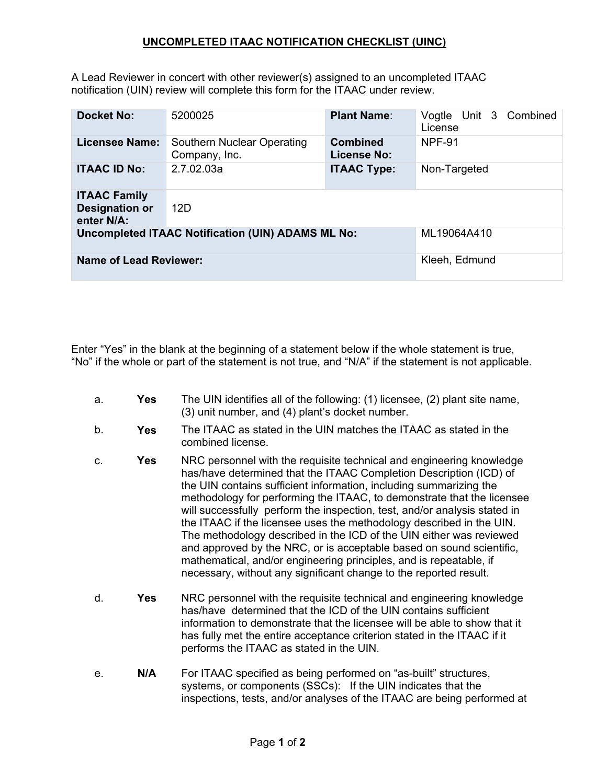## **UNCOMPLETED ITAAC NOTIFICATION CHECKLIST (UINC)**

A Lead Reviewer in concert with other reviewer(s) assigned to an uncompleted ITAAC notification (UIN) review will complete this form for the ITAAC under review.

| <b>Docket No:</b>                                          | 5200025                                     | <b>Plant Name:</b>                    | Vogtle Unit 3 Combined<br>License |
|------------------------------------------------------------|---------------------------------------------|---------------------------------------|-----------------------------------|
| Licensee Name:                                             | Southern Nuclear Operating<br>Company, Inc. | <b>Combined</b><br><b>License No:</b> | <b>NPF-91</b>                     |
| <b>ITAAC ID No:</b>                                        | 2.7.02.03a                                  | <b>ITAAC Type:</b>                    | Non-Targeted                      |
| <b>ITAAC Family</b><br><b>Designation or</b><br>enter N/A: | 12D                                         |                                       |                                   |
| <b>Uncompleted ITAAC Notification (UIN) ADAMS ML No:</b>   |                                             |                                       | ML19064A410                       |
| <b>Name of Lead Reviewer:</b>                              |                                             |                                       | Kleeh, Edmund                     |

Enter "Yes" in the blank at the beginning of a statement below if the whole statement is true, "No" if the whole or part of the statement is not true, and "N/A" if the statement is not applicable.

- a. **Yes** The UIN identifies all of the following: (1) licensee, (2) plant site name, (3) unit number, and (4) plant's docket number.
- b. **Yes** The ITAAC as stated in the UIN matches the ITAAC as stated in the combined license.
- c. **Yes** NRC personnel with the requisite technical and engineering knowledge has/have determined that the ITAAC Completion Description (ICD) of the UIN contains sufficient information, including summarizing the methodology for performing the ITAAC, to demonstrate that the licensee will successfully perform the inspection, test, and/or analysis stated in the ITAAC if the licensee uses the methodology described in the UIN. The methodology described in the ICD of the UIN either was reviewed and approved by the NRC, or is acceptable based on sound scientific, mathematical, and/or engineering principles, and is repeatable, if necessary, without any significant change to the reported result.
- d. **Yes** NRC personnel with the requisite technical and engineering knowledge has/have determined that the ICD of the UIN contains sufficient information to demonstrate that the licensee will be able to show that it has fully met the entire acceptance criterion stated in the ITAAC if it performs the ITAAC as stated in the UIN.
- e. **N/A** For ITAAC specified as being performed on "as-built" structures, systems, or components (SSCs): If the UIN indicates that the inspections, tests, and/or analyses of the ITAAC are being performed at